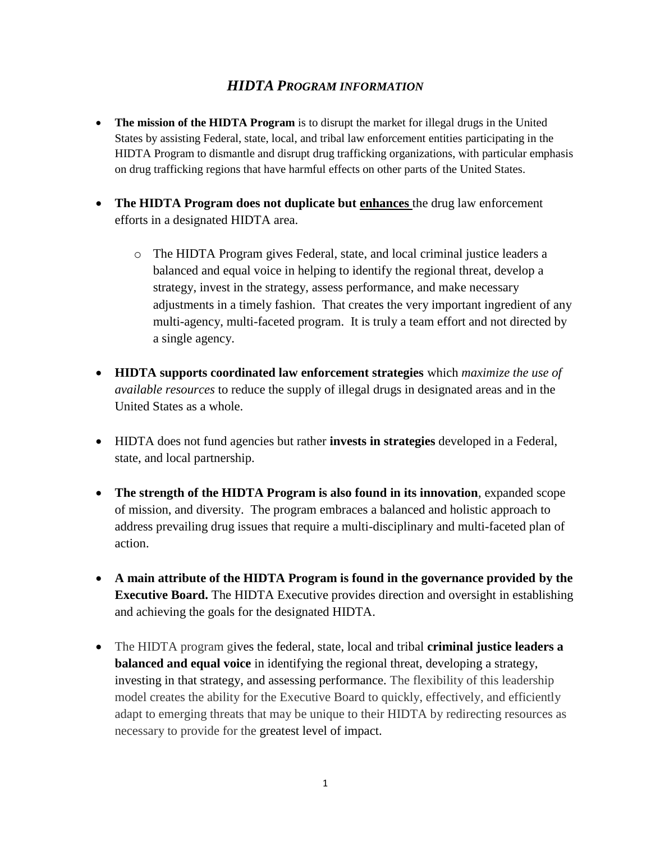## *HIDTA PROGRAM INFORMATION*

- **The mission of the HIDTA Program** is to disrupt the market for illegal drugs in the United States by assisting Federal, state, local, and tribal law enforcement entities participating in the HIDTA Program to dismantle and disrupt drug trafficking organizations, with particular emphasis on drug trafficking regions that have harmful effects on other parts of the United States.
- **The HIDTA Program does not duplicate but enhances** the drug law enforcement efforts in a designated HIDTA area.
	- o The HIDTA Program gives Federal, state, and local criminal justice leaders a balanced and equal voice in helping to identify the regional threat, develop a strategy, invest in the strategy, assess performance, and make necessary adjustments in a timely fashion. That creates the very important ingredient of any multi-agency, multi-faceted program. It is truly a team effort and not directed by a single agency.
- **HIDTA supports coordinated law enforcement strategies** which *maximize the use of available resources* to reduce the supply of illegal drugs in designated areas and in the United States as a whole.
- HIDTA does not fund agencies but rather **invests in strategies** developed in a Federal, state, and local partnership.
- **The strength of the HIDTA Program is also found in its innovation**, expanded scope of mission, and diversity. The program embraces a balanced and holistic approach to address prevailing drug issues that require a multi-disciplinary and multi-faceted plan of action.
- **A main attribute of the HIDTA Program is found in the governance provided by the Executive Board.** The HIDTA Executive provides direction and oversight in establishing and achieving the goals for the designated HIDTA.
- The HIDTA program gives the federal, state, local and tribal **criminal justice leaders a balanced and equal voice** in identifying the regional threat, developing a strategy, investing in that strategy, and assessing performance. The flexibility of this leadership model creates the ability for the Executive Board to quickly, effectively, and efficiently adapt to emerging threats that may be unique to their HIDTA by redirecting resources as necessary to provide for the greatest level of impact.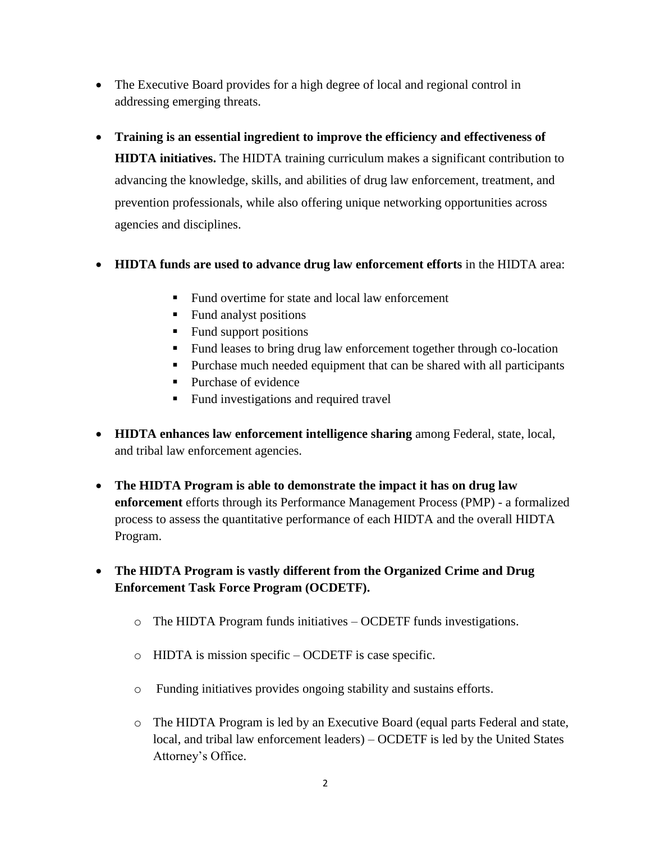- The Executive Board provides for a high degree of local and regional control in addressing emerging threats.
- **Training is an essential ingredient to improve the efficiency and effectiveness of HIDTA initiatives.** The HIDTA training curriculum makes a significant contribution to advancing the knowledge, skills, and abilities of drug law enforcement, treatment, and prevention professionals, while also offering unique networking opportunities across agencies and disciplines.
- **HIDTA funds are used to advance drug law enforcement efforts** in the HIDTA area:
	- Fund overtime for state and local law enforcement
	- Fund analyst positions
	- $\blacksquare$  Fund support positions
	- Fund leases to bring drug law enforcement together through co-location
	- Purchase much needed equipment that can be shared with all participants
	- Purchase of evidence
	- Fund investigations and required travel
- **HIDTA enhances law enforcement intelligence sharing** among Federal, state, local, and tribal law enforcement agencies.
- **The HIDTA Program is able to demonstrate the impact it has on drug law enforcement** efforts through its Performance Management Process (PMP) - a formalized process to assess the quantitative performance of each HIDTA and the overall HIDTA Program.
- **The HIDTA Program is vastly different from the Organized Crime and Drug Enforcement Task Force Program (OCDETF).**
	- o The HIDTA Program funds initiatives OCDETF funds investigations.
	- o HIDTA is mission specific OCDETF is case specific.
	- o Funding initiatives provides ongoing stability and sustains efforts.
	- o The HIDTA Program is led by an Executive Board (equal parts Federal and state, local, and tribal law enforcement leaders) – OCDETF is led by the United States Attorney's Office.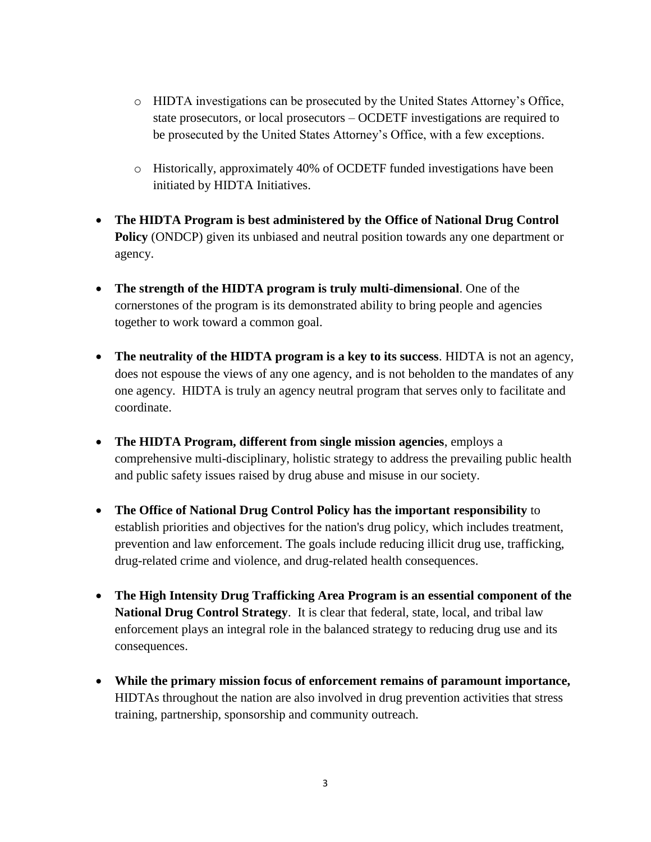- o HIDTA investigations can be prosecuted by the United States Attorney's Office, state prosecutors, or local prosecutors – OCDETF investigations are required to be prosecuted by the United States Attorney's Office, with a few exceptions.
- o Historically, approximately 40% of OCDETF funded investigations have been initiated by HIDTA Initiatives.
- **The HIDTA Program is best administered by the Office of National Drug Control Policy** (ONDCP) given its unbiased and neutral position towards any one department or agency.
- **The strength of the HIDTA program is truly multi-dimensional**. One of the cornerstones of the program is its demonstrated ability to bring people and agencies together to work toward a common goal.
- **The neutrality of the HIDTA program is a key to its success**. HIDTA is not an agency, does not espouse the views of any one agency, and is not beholden to the mandates of any one agency. HIDTA is truly an agency neutral program that serves only to facilitate and coordinate.
- **The HIDTA Program, different from single mission agencies**, employs a comprehensive multi-disciplinary, holistic strategy to address the prevailing public health and public safety issues raised by drug abuse and misuse in our society.
- **The Office of National Drug Control Policy has the important responsibility** to establish priorities and objectives for the nation's drug policy, which includes treatment, prevention and law enforcement. The goals include reducing illicit drug use, trafficking, drug-related crime and violence, and drug-related health consequences.
- **The High Intensity Drug Trafficking Area Program is an essential component of the National Drug Control Strategy**. It is clear that federal, state, local, and tribal law enforcement plays an integral role in the balanced strategy to reducing drug use and its consequences.
- **While the primary mission focus of enforcement remains of paramount importance,** HIDTAs throughout the nation are also involved in drug prevention activities that stress training, partnership, sponsorship and community outreach.